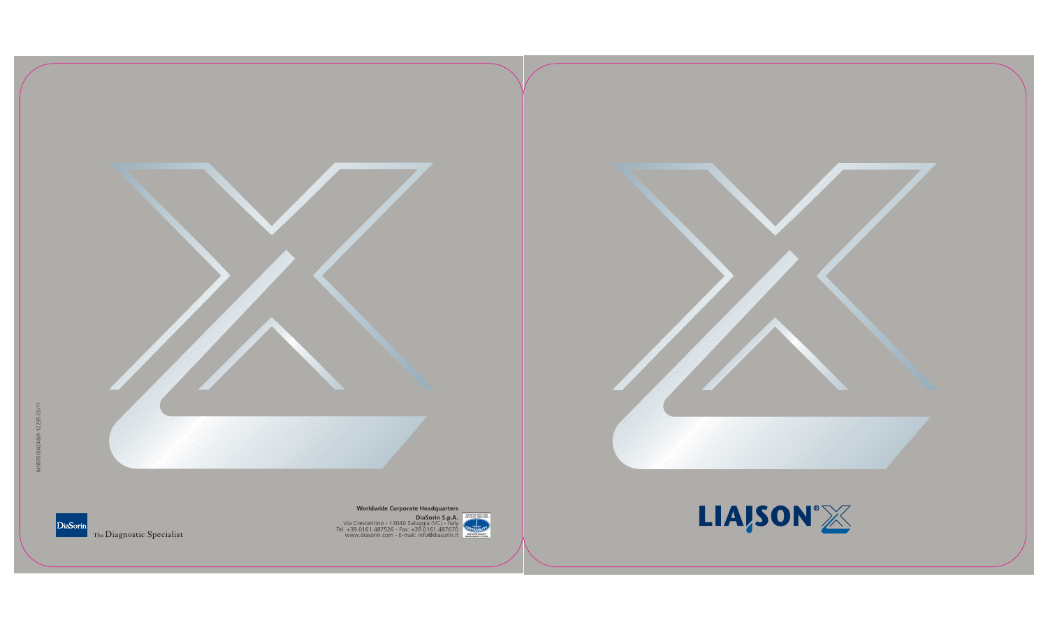

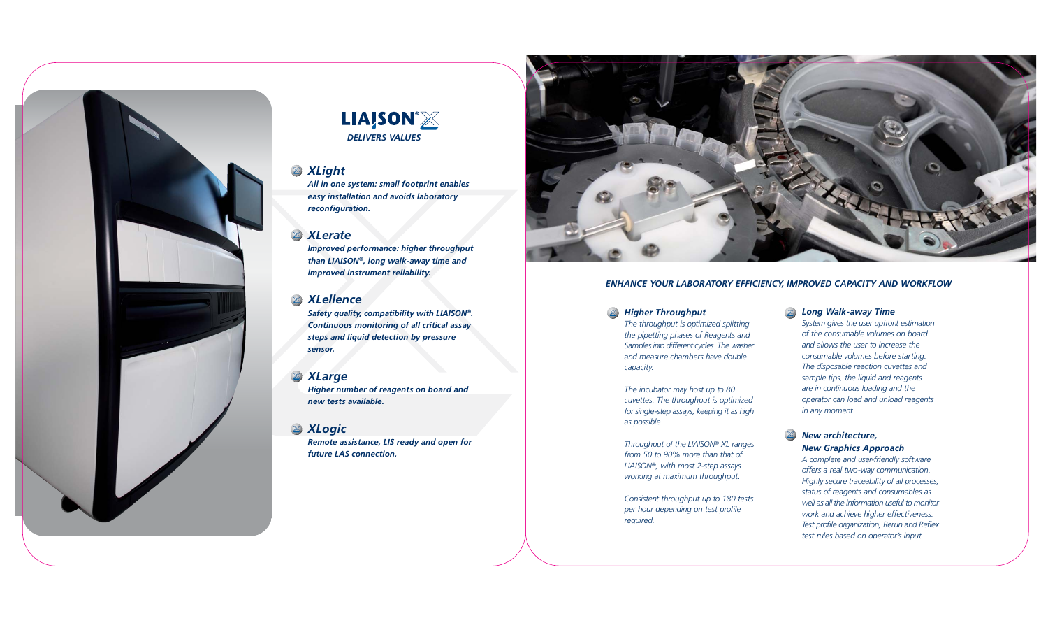## *XLight*

*All in one system: small footprint enables easy installation and avoids laboratory reconfiguration.*

## *XLerate*

*Improved performance: higher throughput than LIAISON®, long walk-away time and improved instrument reliability.*

## *XLellence*

*Safety quality, compatibility with LIAISON®. Continuous monitoring of all critical assay steps and liquid detection by pressure sensor.*

## *XLarge*

*Higher number of reagents on board and new tests available.*

## *XLogic*

*Remote assistance, LIS ready and open for future LAS connection.*







### *Long Walk-away Time*

X *Higher Throughput capacity.*

*System gives the user upfront estimation of the consumable volumes on board and allows the user to increase the consumable volumes before starting. The disposable reaction cuvettes and sample tips, the liquid and reagents are in continuous loading and the operator can load and unload reagents in any moment.*

## *New architecture, New Graphics Approach*

*A complete and user-friendly software offers a real two-way communication. Highly secure traceability of all processes, status of reagents and consumables as well as all the information useful to monitor work and achieve higher effectiveness. Test profile organization, Rerun and Reflex test rules based on operator's input.*

*The throughput is optimized splitting the pipetting phases of Reagents and Samples into different cycles. The washer and measure chambers have double*

*The incubator may host up to 80 cuvettes. The throughput is optimized for single-step assays, keeping it as high*

*as possible.*

*Throughput of the LIAISON® XL ranges from 50 to 90% more than that of LIAISON®, with most 2-step assays working at maximum throughput.*

*Consistent throughput up to 180 tests per hour depending on test profile*

*required.*

### *ENHANCE YOUR LABORATORY EFFICIENCY, IMPROVED CAPACITY AND WORKFLOW*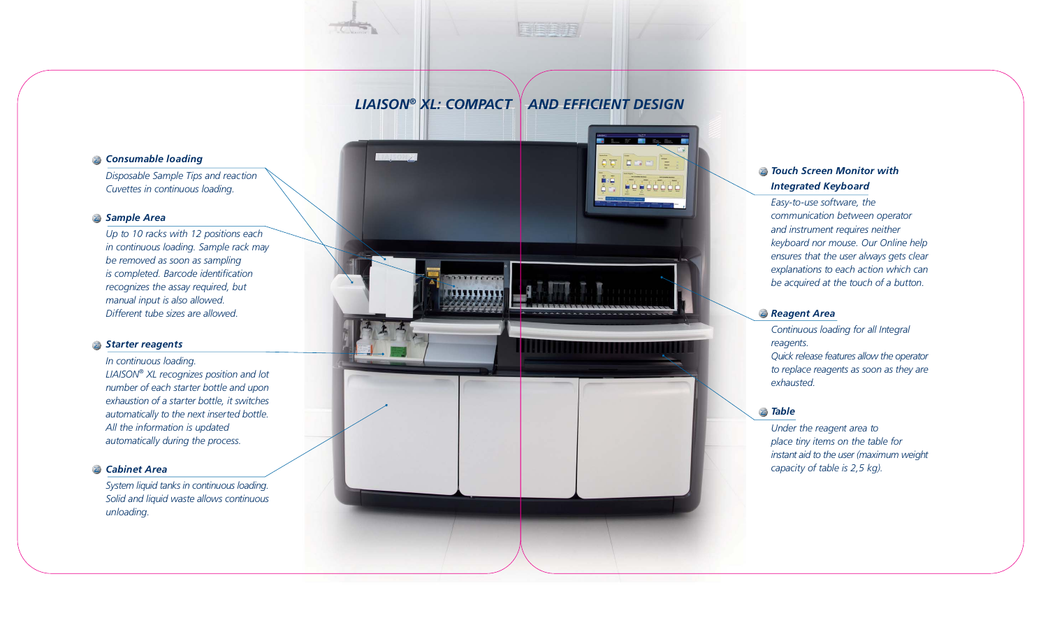## *Consumable loading*

*Disposable Sample Tips and reaction Cuvettes in continuous loading.*

## *Sample Area*

*Up to 10 racks with 12 positions each in continuous loading. Sample rack may be removed as soon as sampling is completed. Barcode identification recognizes the assay required, but manual input is also allowed. Different tube sizes are allowed.*

### *Starter reagents*

*In continuous loading. LIAISON® XL recognizes position and lot number of each starter bottle and upon exhaustion of a starter bottle, it switches automatically to the next inserted bottle. All the information is updated automatically during the process.*

### *Cabinet Area*

*System liquid tanks in continuous loading. Solid and liquid waste allows continuous unloading.*

## *Touch Screen Monitor with Integrated Keyboard*

*Easy-to-use software, the communication between operator and instrument requires neither keyboard nor mouse. Our Online help ensures that the user always gets clear explanations to each action which can be acquired at the touch of a button.*

## *Reagent Area*

*Continuous loading for all Integral reagents. Quick release features allow the operator to replace reagents as soon as they are exhausted.*

## *Table*

*Under the reagent area to place tiny items on the table for instant aid to the user (maximum weight capacity of table is 2,5 kg).*

# *LIAISON® XL: COMPACT AND EFFICIENT DESIGN*

**FIIIIIIII** 

EEFF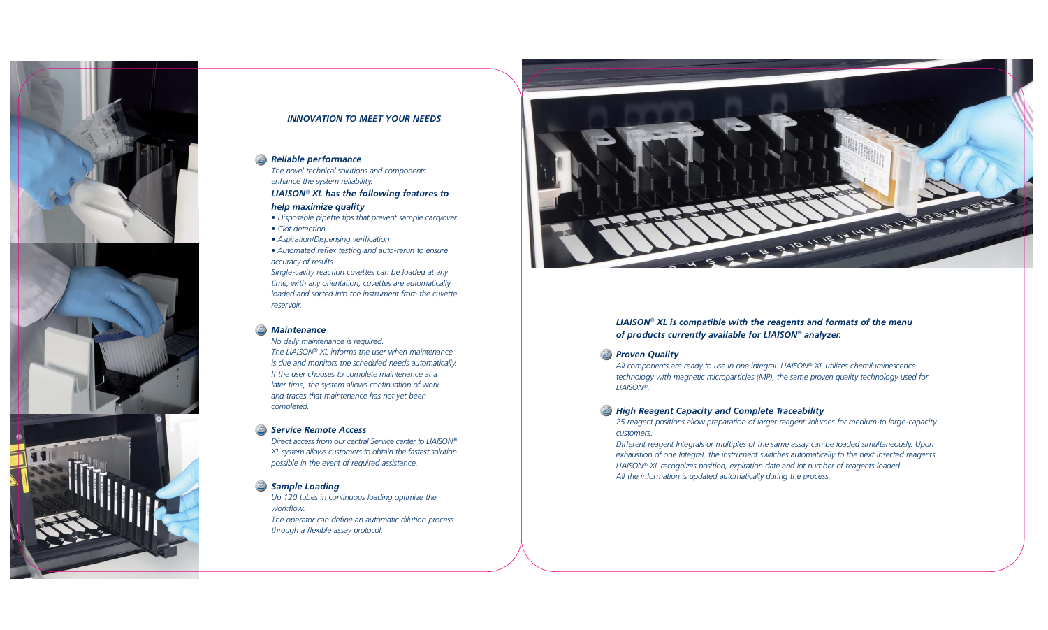*The novel technical solutions and components enhance the system reliability.*

### *LIAISON® XL has the following features to help maximize quality*

- *Disposable pipette tips that prevent sample carryover*
- *Clot detection*
- *Aspiration/Dispensing verification*
- *Automated reflex testing and auto-rerun to ensure accuracy of results.*

*Single-cavity reaction cuvettes can be loaded at any time, with any orientation; cuvettes are automatically loaded and sorted into the instrument from the cuvette reservoir.*

#### *Maintenance*

*No daily maintenance is required.*

*The LIAISON® XL informs the user when maintenance is due and monitors the scheduled needs automatically. If the user chooses to complete maintenance at a later time, the system allows continuation of work and traces that maintenance has not yet been completed.*

#### *Service Remote Access*

*Direct access from our central Service center to LIAISON® XL system allows customers to obtain the fastest solution possible in the event of required assistance.*

#### *Sample Loading*

*Up 120 tubes in continuous loading optimize the workflow. The operator can define an automatic dilution process through a flexible assay protocol.*





### *INNOVATION TO MEET YOUR NEEDS*

#### *Reliable performance*  $\mathbb{X}$

## *LIAISON® XL is compatible with the reagents and formats of the menu of products currently available for LIAISON® analyzer.*

*Proven Quality LIAISON®.*

*All components are ready to use in one integral. LIAISON® XL utilizes chemiluminescence technology with magnetic microparticles (MP), the same proven quality technology used for*

*High Reagent Capacity and Complete Traceability 25 reagent positions allow preparation of larger reagent volumes for medium-to large-capacity customers. Different reagent Integrals or multiples of the same assay can be loaded simultaneously. Upon exhaustion of one Integral, the instrument switches automatically to the next inserted reagents. LIAISON® XL recognizes position, expiration date and lot number of reagents loaded. All the information is updated automatically during the process.*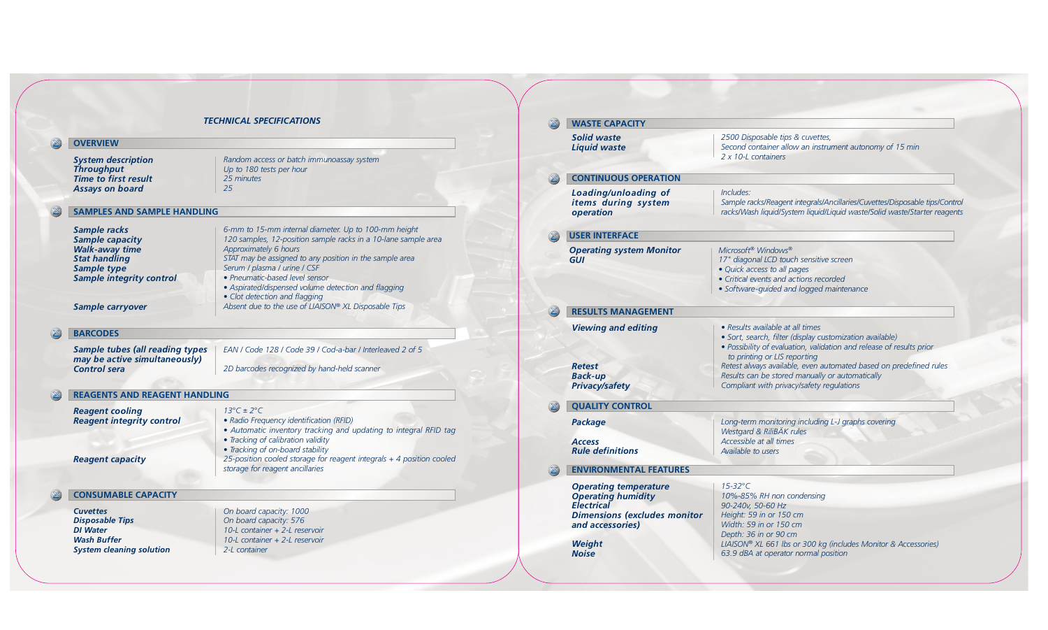| 2500 Disposable tips & cuvettes,<br>Second container allow an instrument autonomy of 15 min<br>2 x 10-L containers                                                                                                                                                                                                                                                        |
|---------------------------------------------------------------------------------------------------------------------------------------------------------------------------------------------------------------------------------------------------------------------------------------------------------------------------------------------------------------------------|
|                                                                                                                                                                                                                                                                                                                                                                           |
| Includes:<br>Sample racks/Reagent integrals/Ancillaries/Cuvettes/Disposable tips/Control<br>racks/Wash liquid/System liquid/Liquid waste/Solid waste/Starter reagents                                                                                                                                                                                                     |
|                                                                                                                                                                                                                                                                                                                                                                           |
| Microsoft <sup>®</sup> Windows®<br>17" diagonal LCD touch sensitive screen<br>· Quick access to all pages<br>• Critical events and actions recorded<br>· Software-quided and logged maintenance                                                                                                                                                                           |
|                                                                                                                                                                                                                                                                                                                                                                           |
| • Results available at all times<br>· Sort, search, filter (display customization available)<br>· Possibility of evaluation, validation and release of results prior<br>to printing or LIS reporting<br>Retest always available, even automated based on predefined rules<br>Results can be stored manually or automatically<br>Compliant with privacy/safety regulations |
| Long-term monitoring including L-J graphs covering<br>Westgard & RiliBÄK rules<br>Accessible at all times<br>Available to users                                                                                                                                                                                                                                           |
|                                                                                                                                                                                                                                                                                                                                                                           |
| $15-32$ °C<br>10%-85% RH non condensing<br>90-240v, 50-60 Hz<br>Height: 59 in or 150 cm<br>Width: 59 in or 150 cm                                                                                                                                                                                                                                                         |
|                                                                                                                                                                                                                                                                                                                                                                           |

#### *TECHNICAL SPECIFICATIONS* $\boxtimes$ **WASTE CAPACITY** *Solid waste* **OVERVIEW** *Liquid waste Random access or batch immunoassay system System description Throughput Up to 180 tests per hour* **CONTINUOUS OPERAT** *Time to first result 25 minutes Assays on board 25 Loading/unloading of items during system* **SAMPLES AND SAMPLE HANDLING** *operation 6-mm to 15-mm internal diameter. Up to 100-mm height Sample racks*  $\boxtimes$ **USER INTERFACE** *120 samples, 12-position sample racks in a 10-lane sample area Sample capacity Walk-away time Approximately 6 hours* **Operating system Mon** *Stat handling STAT may be assigned to any position in the sample area GUI Serum / plasma / urine / CSF Sample type • Pneumatic-based level sensor Sample integrity control • Aspirated/dispensed volume detection and flagging • Clot detection and flagging Absent due to the use of LIAISON® XL Disposable Tips Sample carryover* **RESULTS MANAGEMEI** *Viewing and editing* **BARCODES** *EAN / Code 128 / Code 39 / Cod-a-bar / Interleaved 2 of 5 Sample tubes (all reading types may be active simultaneously) Retest Control sera 2D barcodes recognized by hand-held scanner Back-up Privacy/safety* **REAGENTS AND REAGENT HANDLING QUALITY CONTROL**  $\mathbb{Z}$  $13^{\circ}C \pm 2^{\circ}C$ *Reagent cooling Reagent integrity control • Radio Frequency identification (RFID) Package • Automatic inventory tracking and updating to integral RFID tag • Tracking of calibration validity Access • Tracking of on-board stability Rule definitions 25-position cooled storage for reagent integrals + 4 position cooled Reagent capacity storage for reagent ancillaries* **ENVIRONMENTAL FEAT Operating temperature CONSUMABLE CAPACITY** *Operating humidity Electrical Cuvettes On board capacity: 1000 Dimensions (excludes Disposable Tips On board capacity: 576 and accessories) DI Water 10-L container + 2-L reservoir Wash Buffer 10-L container + 2-L reservoir Weight System cleaning solution 2-L container Noise*